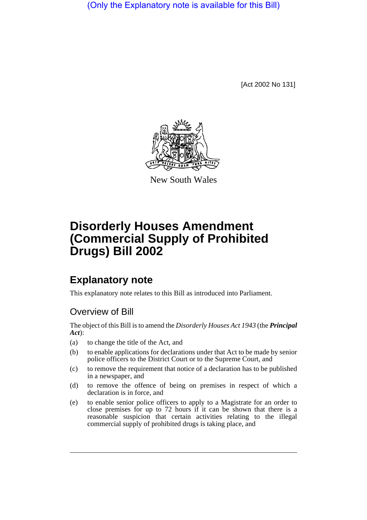(Only the Explanatory note is available for this Bill)

[Act 2002 No 131]



New South Wales

# **Disorderly Houses Amendment (Commercial Supply of Prohibited Drugs) Bill 2002**

## **Explanatory note**

This explanatory note relates to this Bill as introduced into Parliament.

### Overview of Bill

The object of this Bill is to amend the *Disorderly Houses Act 1943* (the *Principal Act*):

- (a) to change the title of the Act, and
- (b) to enable applications for declarations under that Act to be made by senior police officers to the District Court or to the Supreme Court, and
- (c) to remove the requirement that notice of a declaration has to be published in a newspaper, and
- (d) to remove the offence of being on premises in respect of which a declaration is in force, and
- (e) to enable senior police officers to apply to a Magistrate for an order to close premises for up to 72 hours if it can be shown that there is a reasonable suspicion that certain activities relating to the illegal commercial supply of prohibited drugs is taking place, and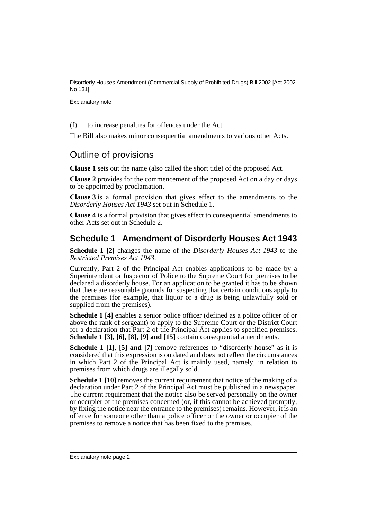Disorderly Houses Amendment (Commercial Supply of Prohibited Drugs) Bill 2002 [Act 2002 No 131]

Explanatory note

(f) to increase penalties for offences under the Act.

The Bill also makes minor consequential amendments to various other Acts.

#### Outline of provisions

**Clause 1** sets out the name (also called the short title) of the proposed Act.

**Clause 2** provides for the commencement of the proposed Act on a day or days to be appointed by proclamation.

**Clause 3** is a formal provision that gives effect to the amendments to the *Disorderly Houses Act 1943* set out in Schedule 1.

**Clause 4** is a formal provision that gives effect to consequential amendments to other Acts set out in Schedule 2.

#### **Schedule 1 Amendment of Disorderly Houses Act 1943**

**Schedule 1 [2]** changes the name of the *Disorderly Houses Act 1943* to the *Restricted Premises Act 1943*.

Currently, Part 2 of the Principal Act enables applications to be made by a Superintendent or Inspector of Police to the Supreme Court for premises to be declared a disorderly house. For an application to be granted it has to be shown that there are reasonable grounds for suspecting that certain conditions apply to the premises (for example, that liquor or a drug is being unlawfully sold or supplied from the premises).

**Schedule 1 [4]** enables a senior police officer (defined as a police officer of or above the rank of sergeant) to apply to the Supreme Court or the District Court for a declaration that Part 2 of the Principal Act applies to specified premises. **Schedule 1 [3], [6], [8], [9] and [15]** contain consequential amendments.

**Schedule 1 [1], [5] and [7]** remove references to "disorderly house" as it is considered that this expression is outdated and does not reflect the circumstances in which Part 2 of the Principal Act is mainly used, namely, in relation to premises from which drugs are illegally sold.

**Schedule 1 [10]** removes the current requirement that notice of the making of a declaration under Part 2 of the Principal Act must be published in a newspaper. The current requirement that the notice also be served personally on the owner or occupier of the premises concerned (or, if this cannot be achieved promptly, by fixing the notice near the entrance to the premises) remains. However, it is an offence for someone other than a police officer or the owner or occupier of the premises to remove a notice that has been fixed to the premises.